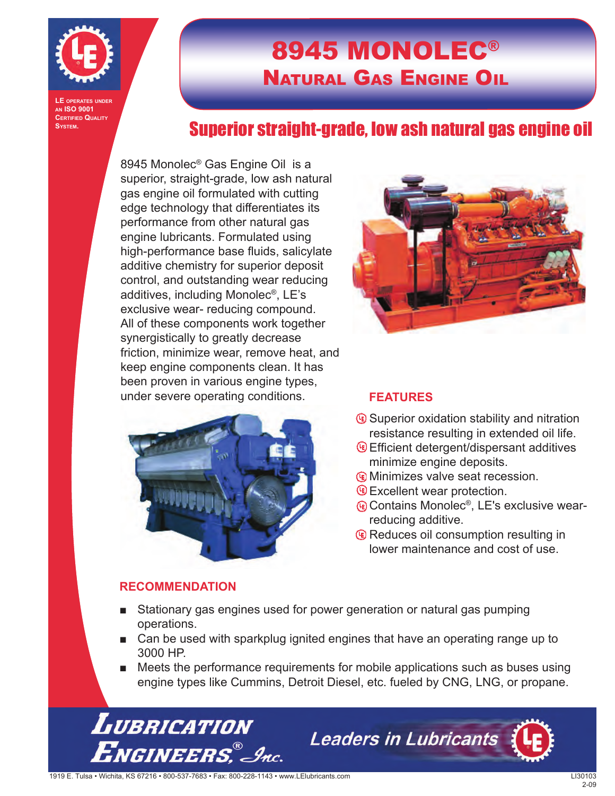

**LE operates under an ISO 9001 CERTIFIED QUALITY System.**

## 8945 MONOLEC® Natural Gas Engine Oil

### Superior straight-grade, low ash natural gas engine oil

8945 Monolec® Gas Engine Oil is a superior, straight-grade, low ash natural gas engine oil formulated with cutting edge technology that differentiates its performance from other natural gas engine lubricants. Formulated using high-performance base fluids, salicylate additive chemistry for superior deposit control, and outstanding wear reducing additives, including Monolec®, LE's exclusive wear- reducing compound. All of these components work together synergistically to greatly decrease friction, minimize wear, remove heat, and keep engine components clean. It has been proven in various engine types, under severe operating conditions.



#### **RECOMMENDATION**



#### **FEATURES**

- Superior oxidation stability and nitration resistance resulting in extended oil life.
- Efficient detergent/dispersant additives minimize engine deposits.
- Minimizes valve seat recession.
- **Excellent wear protection.**
- Contains Monolec<sup>®</sup>, LE's exclusive wearreducing additive.
- *C* Reduces oil consumption resulting in lower maintenance and cost of use.
- Stationary gas engines used for power generation or natural gas pumping operations.
- Can be used with sparkplug ignited engines that have an operating range up to 3000 HP.
- Meets the performance requirements for mobile applications such as buses using engine types like Cummins, Detroit Diesel, etc. fueled by CNG, LNG, or propane.